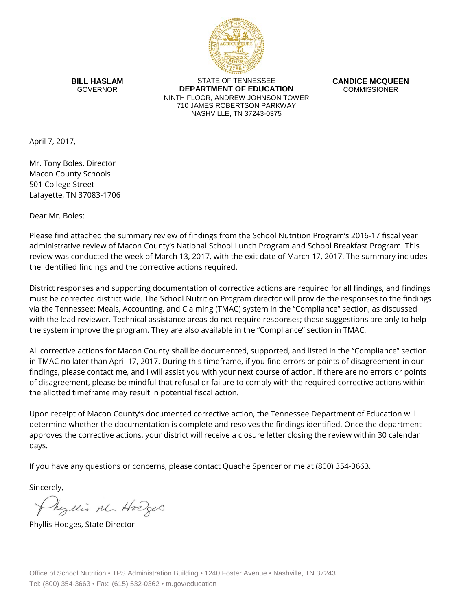

**BILL HASLAM** GOVERNOR

STATE OF TENNESSEE **DEPARTMENT OF EDUCATION** NINTH FLOOR, ANDREW JOHNSON TOWER 710 JAMES ROBERTSON PARKWAY NASHVILLE, TN 37243-0375

**CANDICE MCQUEEN** COMMISSIONER

April 7, 2017,

Mr. Tony Boles, Director Macon County Schools 501 College Street Lafayette, TN 37083-1706

Dear Mr. Boles:

Please find attached the summary review of findings from the School Nutrition Program's 2016-17 fiscal year administrative review of Macon County's National School Lunch Program and School Breakfast Program. This review was conducted the week of March 13, 2017, with the exit date of March 17, 2017. The summary includes the identified findings and the corrective actions required.

District responses and supporting documentation of corrective actions are required for all findings, and findings must be corrected district wide. The School Nutrition Program director will provide the responses to the findings via the Tennessee: Meals, Accounting, and Claiming (TMAC) system in the "Compliance" section, as discussed with the lead reviewer. Technical assistance areas do not require responses; these suggestions are only to help the system improve the program. They are also available in the "Compliance" section in TMAC.

All corrective actions for Macon County shall be documented, supported, and listed in the "Compliance" section in TMAC no later than April 17, 2017. During this timeframe, if you find errors or points of disagreement in our findings, please contact me, and I will assist you with your next course of action. If there are no errors or points of disagreement, please be mindful that refusal or failure to comply with the required corrective actions within the allotted timeframe may result in potential fiscal action.

Upon receipt of Macon County's documented corrective action, the Tennessee Department of Education will determine whether the documentation is complete and resolves the findings identified. Once the department approves the corrective actions, your district will receive a closure letter closing the review within 30 calendar days.

If you have any questions or concerns, please contact Quache Spencer or me at (800) 354-3663.

Sincerely,

Myllis M. Hodges

Phyllis Hodges, State Director